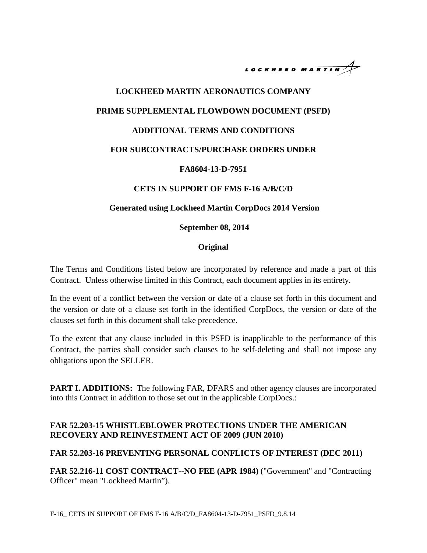

# **LOCKHEED MARTIN AERONAUTICS COMPANY PRIME SUPPLEMENTAL FLOWDOWN DOCUMENT (PSFD) ADDITIONAL TERMS AND CONDITIONS FOR SUBCONTRACTS/PURCHASE ORDERS UNDER FA8604-13-D-7951**

### **CETS IN SUPPORT OF FMS F-16 A/B/C/D**

### **Generated using Lockheed Martin CorpDocs 2014 Version**

#### **September 08, 2014**

### **Original**

The Terms and Conditions listed below are incorporated by reference and made a part of this Contract. Unless otherwise limited in this Contract, each document applies in its entirety.

In the event of a conflict between the version or date of a clause set forth in this document and the version or date of a clause set forth in the identified CorpDocs, the version or date of the clauses set forth in this document shall take precedence.

To the extent that any clause included in this PSFD is inapplicable to the performance of this Contract, the parties shall consider such clauses to be self-deleting and shall not impose any obligations upon the SELLER.

**PART I. ADDITIONS:** The following FAR, DFARS and other agency clauses are incorporated into this Contract in addition to those set out in the applicable CorpDocs.:

### **FAR 52.203-15 WHISTLEBLOWER PROTECTIONS UNDER THE AMERICAN RECOVERY AND REINVESTMENT ACT OF 2009 (JUN 2010)**

### **FAR 52.203-16 PREVENTING PERSONAL CONFLICTS OF INTEREST (DEC 2011)**

**FAR 52.216-11 COST CONTRACT--NO FEE (APR 1984)** ("Government" and "Contracting Officer" mean "Lockheed Martin").

F-16\_ CETS IN SUPPORT OF FMS F-16 A/B/C/D\_FA8604-13-D-7951\_PSFD\_9.8.14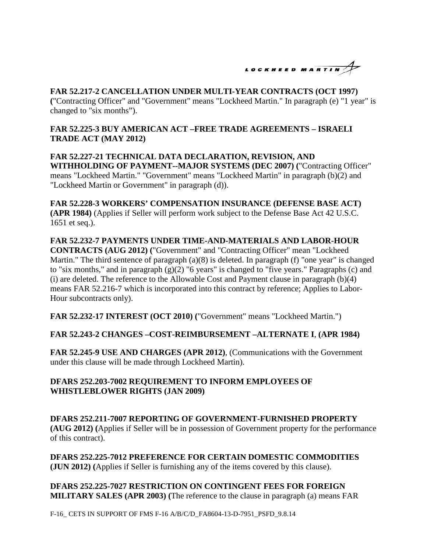

## **FAR 52.217-2 CANCELLATION UNDER MULTI-YEAR CONTRACTS (OCT 1997)**

**(**"Contracting Officer" and "Government" means "Lockheed Martin." In paragraph (e) "1 year" is changed to "six months").

### **FAR 52.225-3 BUY AMERICAN ACT –FREE TRADE AGREEMENTS – ISRAELI TRADE ACT (MAY 2012)**

**FAR 52.227-21 TECHNICAL DATA DECLARATION, REVISION, AND WITHHOLDING OF PAYMENT--MAJOR SYSTEMS (DEC 2007) (**"Contracting Officer" means "Lockheed Martin." "Government" means "Lockheed Martin" in paragraph (b)(2) and "Lockheed Martin or Government" in paragraph (d)).

**FAR 52.228-3 WORKERS' COMPENSATION INSURANCE (DEFENSE BASE ACT) (APR 1984)** (Applies if Seller will perform work subject to the Defense Base Act 42 U.S.C. 1651 et seq.).

**FAR 52.232-7 PAYMENTS UNDER TIME-AND-MATERIALS AND LABOR-HOUR CONTRACTS (AUG 2012) (**"Government" and "Contracting Officer" mean "Lockheed Martin." The third sentence of paragraph (a)(8) is deleted. In paragraph (f) "one year" is changed to "six months," and in paragraph (g)(2) "6 years" is changed to "five years." Paragraphs (c) and (i) are deleted. The reference to the Allowable Cost and Payment clause in paragraph (b)(4) means FAR 52.216-7 which is incorporated into this contract by reference; Applies to Labor-Hour subcontracts only).

**FAR 52.232-17 INTEREST (OCT 2010) (**"Government" means "Lockheed Martin.")

### **FAR 52.243-2 CHANGES –COST-REIMBURSEMENT –ALTERNATE I**, **(APR 1984)**

**FAR 52.245-9 USE AND CHARGES (APR 2012)**, (Communications with the Government under this clause will be made through Lockheed Martin).

### **DFARS 252.203-7002 REQUIREMENT TO INFORM EMPLOYEES OF WHISTLEBLOWER RIGHTS (JAN 2009)**

**DFARS 252.211-7007 REPORTING OF GOVERNMENT-FURNISHED PROPERTY (AUG 2012) (**Applies if Seller will be in possession of Government property for the performance of this contract).

**DFARS 252.225-7012 PREFERENCE FOR CERTAIN DOMESTIC COMMODITIES (JUN 2012) (**Applies if Seller is furnishing any of the items covered by this clause).

**DFARS 252.225-7027 RESTRICTION ON CONTINGENT FEES FOR FOREIGN MILITARY SALES (APR 2003) (**The reference to the clause in paragraph (a) means FAR

F-16\_ CETS IN SUPPORT OF FMS F-16 A/B/C/D\_FA8604-13-D-7951\_PSFD\_9.8.14